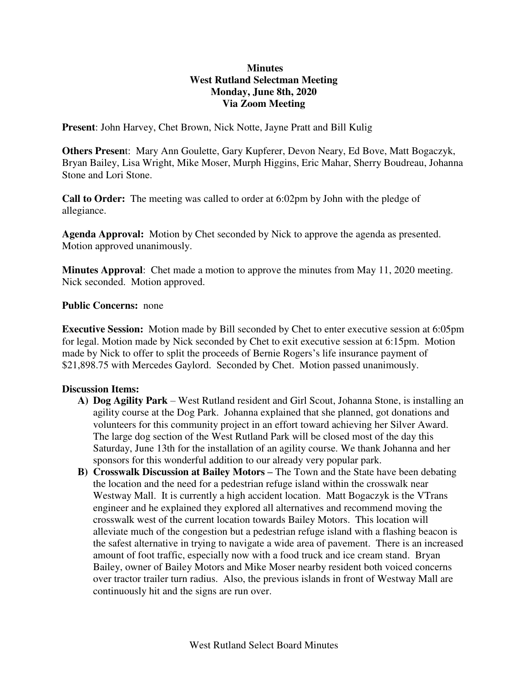## **Minutes West Rutland Selectman Meeting Monday, June 8th, 2020 Via Zoom Meeting**

**Present**: John Harvey, Chet Brown, Nick Notte, Jayne Pratt and Bill Kulig

**Others Presen**t: Mary Ann Goulette, Gary Kupferer, Devon Neary, Ed Bove, Matt Bogaczyk, Bryan Bailey, Lisa Wright, Mike Moser, Murph Higgins, Eric Mahar, Sherry Boudreau, Johanna Stone and Lori Stone.

**Call to Order:** The meeting was called to order at 6:02pm by John with the pledge of allegiance.

**Agenda Approval:** Motion by Chet seconded by Nick to approve the agenda as presented. Motion approved unanimously.

**Minutes Approval**: Chet made a motion to approve the minutes from May 11, 2020 meeting. Nick seconded. Motion approved.

## **Public Concerns:** none

**Executive Session:** Motion made by Bill seconded by Chet to enter executive session at 6:05pm for legal. Motion made by Nick seconded by Chet to exit executive session at 6:15pm. Motion made by Nick to offer to split the proceeds of Bernie Rogers's life insurance payment of \$21,898.75 with Mercedes Gaylord. Seconded by Chet. Motion passed unanimously.

## **Discussion Items:**

- **A) Dog Agility Park**  West Rutland resident and Girl Scout, Johanna Stone, is installing an agility course at the Dog Park. Johanna explained that she planned, got donations and volunteers for this community project in an effort toward achieving her Silver Award. The large dog section of the West Rutland Park will be closed most of the day this Saturday, June 13th for the installation of an agility course. We thank Johanna and her sponsors for this wonderful addition to our already very popular park.
- **B) Crosswalk Discussion at Bailey Motors –** The Town and the State have been debating the location and the need for a pedestrian refuge island within the crosswalk near Westway Mall. It is currently a high accident location. Matt Bogaczyk is the VTrans engineer and he explained they explored all alternatives and recommend moving the crosswalk west of the current location towards Bailey Motors. This location will alleviate much of the congestion but a pedestrian refuge island with a flashing beacon is the safest alternative in trying to navigate a wide area of pavement. There is an increased amount of foot traffic, especially now with a food truck and ice cream stand. Bryan Bailey, owner of Bailey Motors and Mike Moser nearby resident both voiced concerns over tractor trailer turn radius. Also, the previous islands in front of Westway Mall are continuously hit and the signs are run over.